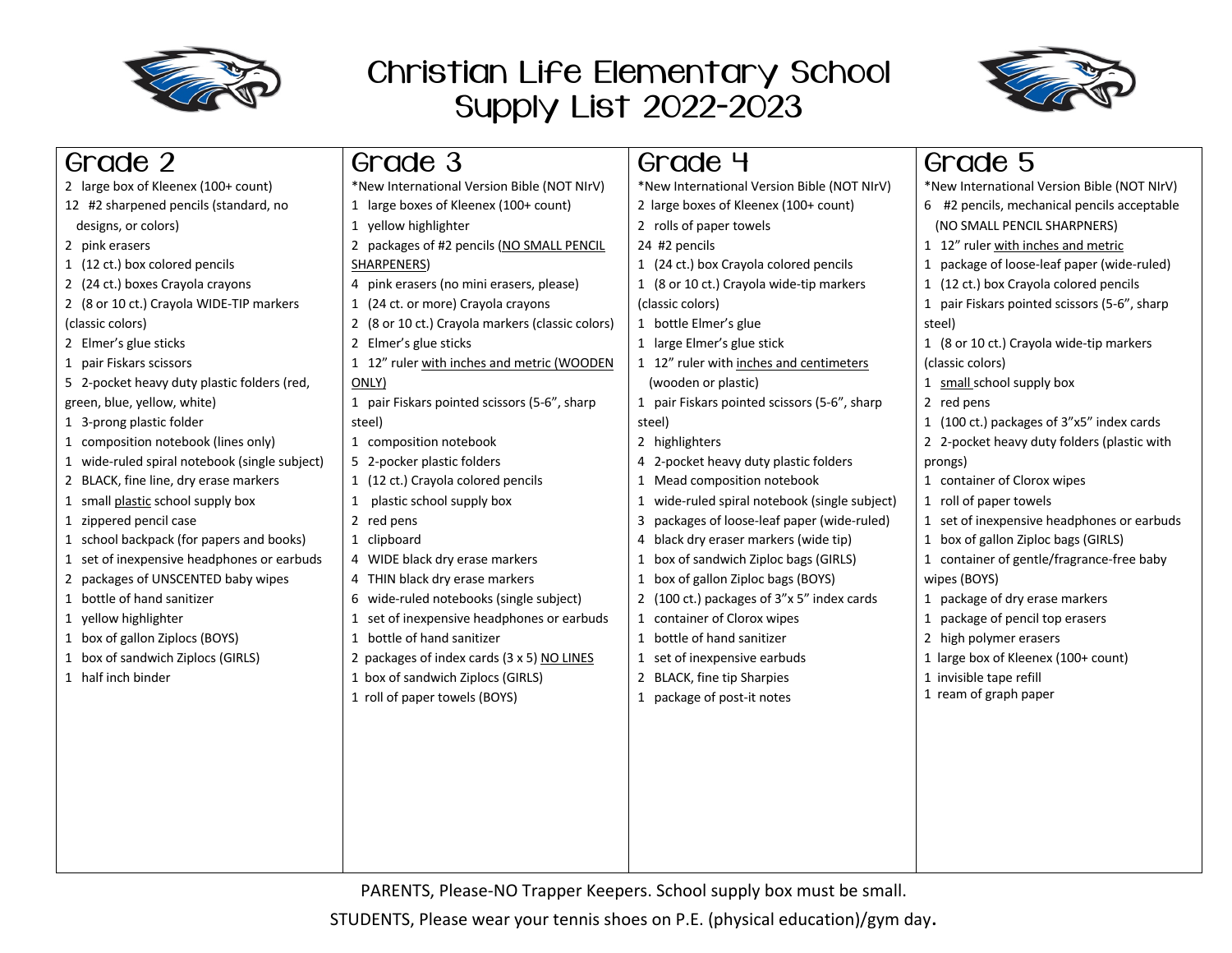

## Christian Life Elementary School Supply List 2022-2023



| Grade 2                                       | Grade 3                                          | Grade 4                                       | Grade 5                                      |
|-----------------------------------------------|--------------------------------------------------|-----------------------------------------------|----------------------------------------------|
| 2 large box of Kleenex (100+ count)           | *New International Version Bible (NOT NIrV)      | *New International Version Bible (NOT NIrV)   | *New International Version Bible (NOT NIrV)  |
| 12 #2 sharpened pencils (standard, no         | 1 large boxes of Kleenex (100+ count)            | 2 large boxes of Kleenex (100+ count)         | 6 #2 pencils, mechanical pencils acceptable  |
| designs, or colors)                           | 1 yellow highlighter                             | 2 rolls of paper towels                       | (NO SMALL PENCIL SHARPNERS)                  |
| 2 pink erasers                                | 2 packages of #2 pencils (NO SMALL PENCIL        | 24 #2 pencils                                 | 1 12" ruler with inches and metric           |
| 1 (12 ct.) box colored pencils                | SHARPENERS)                                      | 1 (24 ct.) box Crayola colored pencils        | 1 package of loose-leaf paper (wide-ruled)   |
| 2 (24 ct.) boxes Crayola crayons              | 4 pink erasers (no mini erasers, please)         | 1 (8 or 10 ct.) Crayola wide-tip markers      | 1 (12 ct.) box Crayola colored pencils       |
| 2 (8 or 10 ct.) Crayola WIDE-TIP markers      | 1 (24 ct. or more) Crayola crayons               | (classic colors)                              | 1 pair Fiskars pointed scissors (5-6", sharp |
| (classic colors)                              | 2 (8 or 10 ct.) Crayola markers (classic colors) | 1 bottle Elmer's glue                         | steel)                                       |
| 2 Elmer's glue sticks                         | 2 Elmer's glue sticks                            | 1 large Elmer's glue stick                    | 1 (8 or 10 ct.) Crayola wide-tip markers     |
| 1 pair Fiskars scissors                       | 1 12" ruler with inches and metric (WOODEN       | 1 12" ruler with inches and centimeters       | (classic colors)                             |
| 5 2-pocket heavy duty plastic folders (red,   | ONLY)                                            | (wooden or plastic)                           | 1 small school supply box                    |
| green, blue, yellow, white)                   | 1 pair Fiskars pointed scissors (5-6", sharp     | 1 pair Fiskars pointed scissors (5-6", sharp  | 2 red pens                                   |
| 1 3-prong plastic folder                      | steel)                                           | steel)                                        | 1 (100 ct.) packages of 3"x5" index cards    |
| 1 composition notebook (lines only)           | 1 composition notebook                           | 2 highlighters                                | 2 2-pocket heavy duty folders (plastic with  |
| 1 wide-ruled spiral notebook (single subject) | 5 2-pocker plastic folders                       | 4 2-pocket heavy duty plastic folders         | prongs)                                      |
| 2 BLACK, fine line, dry erase markers         | 1 (12 ct.) Crayola colored pencils               | 1 Mead composition notebook                   | 1 container of Clorox wipes                  |
| 1 small plastic school supply box             | plastic school supply box<br>$\mathbf{1}$        | 1 wide-ruled spiral notebook (single subject) | 1 roll of paper towels                       |
| 1 zippered pencil case                        | 2 red pens                                       | 3 packages of loose-leaf paper (wide-ruled)   | 1 set of inexpensive headphones or earbuds   |
| 1 school backpack (for papers and books)      | 1 clipboard                                      | 4 black dry eraser markers (wide tip)         | 1 box of gallon Ziploc bags (GIRLS)          |
| 1 set of inexpensive headphones or earbuds    | 4 WIDE black dry erase markers                   | 1 box of sandwich Ziploc bags (GIRLS)         | 1 container of gentle/fragrance-free baby    |
| 2 packages of UNSCENTED baby wipes            | 4 THIN black dry erase markers                   | 1 box of gallon Ziploc bags (BOYS)            | wipes (BOYS)                                 |
| 1 bottle of hand sanitizer                    | 6 wide-ruled notebooks (single subject)          | 2 (100 ct.) packages of 3"x 5" index cards    | 1 package of dry erase markers               |
| 1 yellow highlighter                          | 1 set of inexpensive headphones or earbuds       | 1 container of Clorox wipes                   | 1 package of pencil top erasers              |
| 1 box of gallon Ziplocs (BOYS)                | 1 bottle of hand sanitizer                       | 1 bottle of hand sanitizer                    | 2 high polymer erasers                       |
| 1 box of sandwich Ziplocs (GIRLS)             | 2 packages of index cards (3 x 5) NO LINES       | 1 set of inexpensive earbuds                  | 1 large box of Kleenex (100+ count)          |
| 1 half inch binder                            | 1 box of sandwich Ziplocs (GIRLS)                | 2 BLACK, fine tip Sharpies                    | 1 invisible tape refill                      |
|                                               | 1 roll of paper towels (BOYS)                    | 1 package of post-it notes                    | 1 ream of graph paper                        |
|                                               |                                                  |                                               |                                              |
|                                               |                                                  |                                               |                                              |
|                                               |                                                  |                                               |                                              |
|                                               |                                                  |                                               |                                              |
|                                               |                                                  |                                               |                                              |
|                                               |                                                  |                                               |                                              |
|                                               |                                                  |                                               |                                              |
|                                               |                                                  |                                               |                                              |
|                                               |                                                  |                                               |                                              |

PARENTS, Please-NO Trapper Keepers. School supply box must be small.

STUDENTS, Please wear your tennis shoes on P.E. (physical education)/gym day.